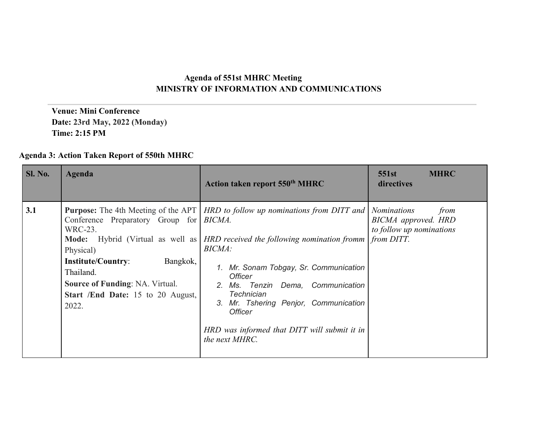## **Agenda of 551st MHRC Meeting MINISTRY OF INFORMATION AND COMMUNICATIONS**

 **Venue: Mini Conference Date: 23rd May, 2022 (Monday) Time: 2:15 PM**

## **Agenda 3: Action Taken Report of 550th MHRC**

| <b>Sl. No.</b> | Agenda                                                                                                                                                                                                                                             | Action taken report 550 <sup>th</sup> MHRC                                                                                                                                                                                                                                                                                                                                                                                        | 551st<br><b>MHRC</b><br>directives                                                          |
|----------------|----------------------------------------------------------------------------------------------------------------------------------------------------------------------------------------------------------------------------------------------------|-----------------------------------------------------------------------------------------------------------------------------------------------------------------------------------------------------------------------------------------------------------------------------------------------------------------------------------------------------------------------------------------------------------------------------------|---------------------------------------------------------------------------------------------|
| 3.1            | Conference Preparatory Group for <i>BICMA</i> .<br>WRC-23.<br>Mode: Hybrid (Virtual as well as<br>Physical)<br>Bangkok,<br><b>Institute/Country:</b><br>Thailand.<br>Source of Funding: NA. Virtual.<br>Start /End Date: 15 to 20 August,<br>2022. | <b>Purpose:</b> The 4th Meeting of the APT <i>HRD to follow up nominations from DITT and</i><br><b>HRD</b> received the following nomination fromm<br><b>BICMA</b> :<br>1. Mr. Sonam Tobgay, Sr. Communication<br><b>Officer</b><br>2. Ms. Tenzin Dema, Communication<br><b>Technician</b><br>Mr. Tshering Penjor, Communication<br>3.<br><i><b>Officer</b></i><br>HRD was informed that DITT will submit it in<br>the next MHRC. | <i>Nominations</i><br>from<br>BICMA approved. HRD<br>to follow up nominations<br>from DITT. |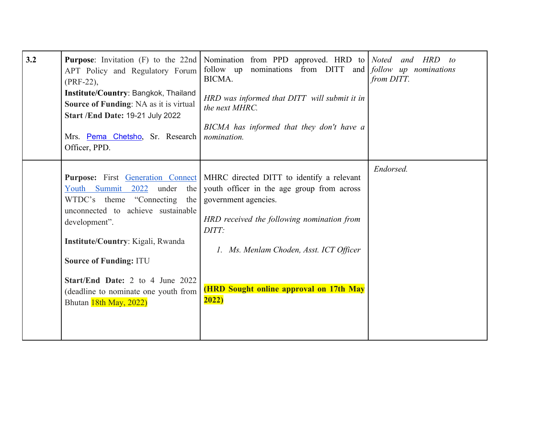| 3.2 | <b>Purpose:</b> Invitation (F) to the 22nd<br>APT Policy and Regulatory Forum<br>$(PRF-22)$ ,<br>Institute/Country: Bangkok, Thailand<br>Source of Funding: NA as it is virtual<br><b>Start /End Date: 19-21 July 2022</b><br>Mrs. Pema Chetsho, Sr. Research<br>Officer, PPD.                                                                                 | Nomination from PPD approved. HRD to Noted<br>follow up nominations from DITT and <i>follow up nominations</i><br>BICMA.<br>HRD was informed that DITT will submit it in<br>the next MHRC.<br>BICMA has informed that they don't have a<br>nomination.                | and HRD<br>to<br>from DITT. |
|-----|----------------------------------------------------------------------------------------------------------------------------------------------------------------------------------------------------------------------------------------------------------------------------------------------------------------------------------------------------------------|-----------------------------------------------------------------------------------------------------------------------------------------------------------------------------------------------------------------------------------------------------------------------|-----------------------------|
|     | <b>Purpose:</b> First <b>Generation Connect</b><br>Youth Summit 2022 under<br>the<br>WTDC's theme "Connecting<br>the<br>unconnected to achieve sustainable<br>development".<br>Institute/Country: Kigali, Rwanda<br><b>Source of Funding: ITU</b><br><b>Start/End Date: 2 to 4 June 2022</b><br>(deadline to nominate one youth from<br>Bhutan 18th May, 2022) | MHRC directed DITT to identify a relevant<br>youth officer in the age group from across<br>government agencies.<br>HRD received the following nomination from<br>DITT:<br>1. Ms. Menlam Choden, Asst. ICT Officer<br>(HRD Sought online approval on 17th May<br>2022) | Endorsed.                   |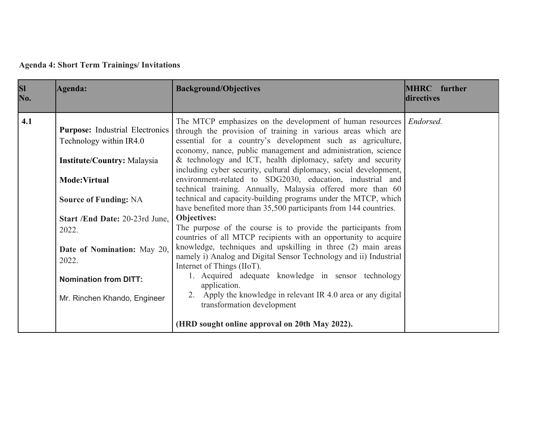**Agenda 4: Short Term Trainings/ Invitations**

| SI<br>No. | <b>Agenda:</b>                                                    | <b>Background/Objectives</b>                                                                                                                                                                                                                                               | <b>MHRC</b> further<br>directives |
|-----------|-------------------------------------------------------------------|----------------------------------------------------------------------------------------------------------------------------------------------------------------------------------------------------------------------------------------------------------------------------|-----------------------------------|
| 4.1       | <b>Purpose:</b> Industrial Electronics<br>Technology within IR4.0 | The MTCP emphasizes on the development of human resources <i>Endorsed</i> .<br>through the provision of training in various areas which are<br>essential for a country's development such as agriculture,<br>economy, nance, public management and administration, science |                                   |
|           | <b>Institute/Country: Malaysia</b><br>Mode: Virtual               | & technology and ICT, health diplomacy, safety and security<br>including cyber security, cultural diplomacy, social development,<br>environment-related to SDG2030, education, industrial and<br>technical training. Annually, Malaysia offered more than 60               |                                   |
|           | <b>Source of Funding: NA</b><br>Start /End Date: 20-23rd June,    | technical and capacity-building programs under the MTCP, which<br>have benefited more than 35,500 participants from 144 countries.<br>Objectives:<br>The purpose of the course is to provide the participants from                                                         |                                   |
|           | 2022.<br>Date of Nomination: May 20,<br>2022.                     | countries of all MTCP recipients with an opportunity to acquire<br>knowledge, techniques and upskilling in three (2) main areas<br>namely i) Analog and Digital Sensor Technology and ii) Industrial<br>Internet of Things (IIoT).                                         |                                   |
|           | <b>Nomination from DITT:</b>                                      | 1. Acquired adequate knowledge in sensor technology<br>application.                                                                                                                                                                                                        |                                   |
|           | Mr. Rinchen Khando, Engineer                                      | 2. Apply the knowledge in relevant IR 4.0 area or any digital<br>transformation development                                                                                                                                                                                |                                   |
|           |                                                                   | (HRD sought online approval on 20th May 2022).                                                                                                                                                                                                                             |                                   |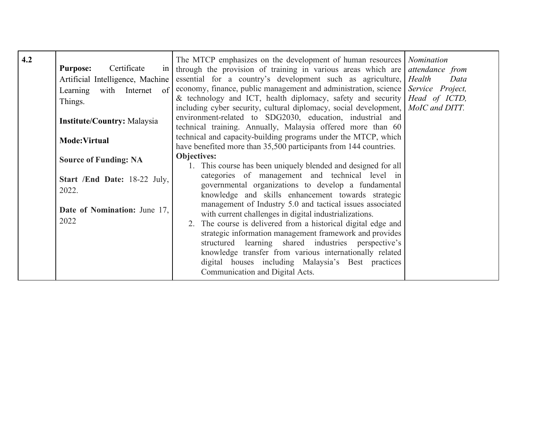| 4.2 | Certificate<br><b>Purpose:</b><br>Artificial Intelligence, Machine<br>Learning with Internet of<br>Things.<br><b>Institute/Country: Malaysia</b> | The MTCP emphasizes on the development of human resources Nomination<br>in through the provision of training in various areas which are <i>attendance from</i><br>essential for a country's development such as agriculture, <i>Health</i><br>economy, finance, public management and administration, science   Service Project,<br>& technology and ICT, health diplomacy, safety and security Head of ICTD,<br>including cyber security, cultural diplomacy, social development, MoIC and DITT.<br>environment-related to SDG2030, education, industrial and | Data |
|-----|--------------------------------------------------------------------------------------------------------------------------------------------------|----------------------------------------------------------------------------------------------------------------------------------------------------------------------------------------------------------------------------------------------------------------------------------------------------------------------------------------------------------------------------------------------------------------------------------------------------------------------------------------------------------------------------------------------------------------|------|
|     |                                                                                                                                                  | technical training. Annually, Malaysia offered more than 60                                                                                                                                                                                                                                                                                                                                                                                                                                                                                                    |      |
|     | Mode: Virtual                                                                                                                                    | technical and capacity-building programs under the MTCP, which<br>have benefited more than 35,500 participants from 144 countries.                                                                                                                                                                                                                                                                                                                                                                                                                             |      |
|     | <b>Source of Funding: NA</b>                                                                                                                     | <b>Objectives:</b><br>1. This course has been uniquely blended and designed for all                                                                                                                                                                                                                                                                                                                                                                                                                                                                            |      |
|     | Start /End Date: 18-22 July,<br>2022.                                                                                                            | categories of management and technical level in<br>governmental organizations to develop a fundamental<br>knowledge and skills enhancement towards strategic                                                                                                                                                                                                                                                                                                                                                                                                   |      |
|     | Date of Nomination: June 17,<br>2022                                                                                                             | management of Industry 5.0 and tactical issues associated<br>with current challenges in digital industrializations.<br>The course is delivered from a historical digital edge and<br>2.<br>strategic information management framework and provides<br>structured learning shared industries perspective's<br>knowledge transfer from various internationally related                                                                                                                                                                                           |      |
|     |                                                                                                                                                  | digital houses including Malaysia's Best practices<br>Communication and Digital Acts.                                                                                                                                                                                                                                                                                                                                                                                                                                                                          |      |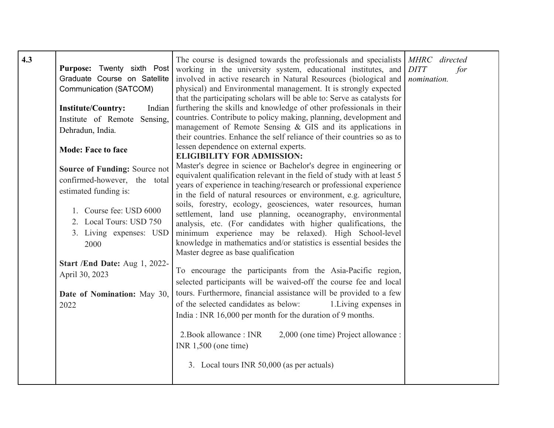| 4.3 | Purpose: Twenty sixth Post<br>Graduate Course on Satellite<br>Communication (SATCOM)<br><b>Institute/Country:</b><br>Indian | The course is designed towards the professionals and specialists <i>MHRC</i> directed<br>working in the university system, educational institutes, and DITT<br>involved in active research in Natural Resources (biological and<br>physical) and Environmental management. It is strongly expected<br>that the participating scholars will be able to: Serve as catalysts for<br>furthering the skills and knowledge of other professionals in their | for<br>nomination. |
|-----|-----------------------------------------------------------------------------------------------------------------------------|------------------------------------------------------------------------------------------------------------------------------------------------------------------------------------------------------------------------------------------------------------------------------------------------------------------------------------------------------------------------------------------------------------------------------------------------------|--------------------|
|     | Institute of Remote<br>Sensing,<br>Dehradun, India.                                                                         | countries. Contribute to policy making, planning, development and<br>management of Remote Sensing & GIS and its applications in<br>their countries. Enhance the self reliance of their countries so as to                                                                                                                                                                                                                                            |                    |
|     | <b>Mode: Face to face</b>                                                                                                   | lessen dependence on external experts.<br><b>ELIGIBILITY FOR ADMISSION:</b>                                                                                                                                                                                                                                                                                                                                                                          |                    |
|     | Source of Funding: Source not<br>confirmed-however, the total<br>estimated funding is:                                      | Master's degree in science or Bachelor's degree in engineering or<br>equivalent qualification relevant in the field of study with at least 5<br>years of experience in teaching/research or professional experience<br>in the field of natural resources or environment, e.g. agriculture,                                                                                                                                                           |                    |
|     | 1. Course fee: USD 6000<br>2. Local Tours: USD 750<br>3. Living expenses: USD<br>2000                                       | soils, forestry, ecology, geosciences, water resources, human<br>settlement, land use planning, oceanography, environmental<br>analysis, etc. (For candidates with higher qualifications, the<br>minimum experience may be relaxed). High School-level<br>knowledge in mathematics and/or statistics is essential besides the<br>Master degree as base qualification                                                                                 |                    |
|     | Start /End Date: Aug 1, 2022-<br>April 30, 2023                                                                             | To encourage the participants from the Asia-Pacific region,<br>selected participants will be waived-off the course fee and local                                                                                                                                                                                                                                                                                                                     |                    |
|     | Date of Nomination: May 30,<br>2022                                                                                         | tours. Furthermore, financial assistance will be provided to a few<br>of the selected candidates as below:<br>1. Living expenses in<br>India: INR 16,000 per month for the duration of 9 months.                                                                                                                                                                                                                                                     |                    |
|     |                                                                                                                             | 2. Book allowance: INR<br>2,000 (one time) Project allowance :<br>INR $1,500$ (one time)                                                                                                                                                                                                                                                                                                                                                             |                    |
|     |                                                                                                                             | 3. Local tours INR 50,000 (as per actuals)                                                                                                                                                                                                                                                                                                                                                                                                           |                    |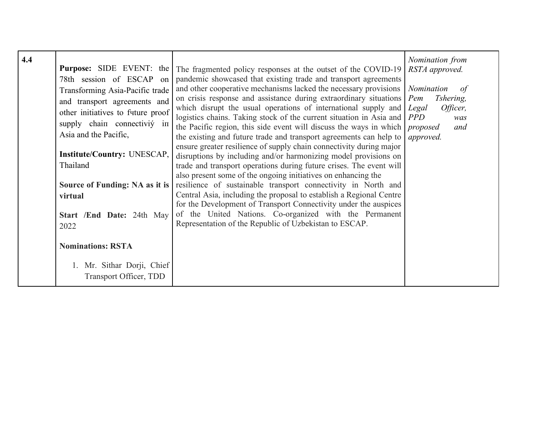| 4.4 | <b>Purpose:</b> SIDE EVENT: the<br>78th session of ESCAP on<br>Transforming Asia-Pacific trade<br>and transport agreements and<br>other initiatives to future proof<br>supply chain connectivity in<br>Asia and the Pacific,<br><b>Institute/Country: UNESCAP,</b><br>Thailand<br>Source of Funding: NA as it is<br>virtual<br><b>Start /End Date: 24th May</b><br>2022 | The fragmented policy responses at the outset of the COVID-19<br>pandemic showcased that existing trade and transport agreements<br>and other cooperative mechanisms lacked the necessary provisions<br>on crisis response and assistance during extraordinary situations<br>which disrupt the usual operations of international supply and<br>logistics chains. Taking stock of the current situation in Asia and<br>the Pacific region, this side event will discuss the ways in which<br>the existing and future trade and transport agreements can help to<br>ensure greater resilience of supply chain connectivity during major<br>disruptions by including and/or harmonizing model provisions on<br>trade and transport operations during future crises. The event will<br>also present some of the ongoing initiatives on enhancing the<br>resilience of sustainable transport connectivity in North and<br>Central Asia, including the proposal to establish a Regional Centre<br>for the Development of Transport Connectivity under the auspices<br>of the United Nations. Co-organized with the Permanent<br>Representation of the Republic of Uzbekistan to ESCAP. | Nomination from<br>RSTA approved.<br>Nomination<br>0t<br>Tshering,<br>Pem<br>Officer,<br>Legal<br><b>PPD</b><br>was<br>proposed<br>and<br>approved. |
|-----|-------------------------------------------------------------------------------------------------------------------------------------------------------------------------------------------------------------------------------------------------------------------------------------------------------------------------------------------------------------------------|----------------------------------------------------------------------------------------------------------------------------------------------------------------------------------------------------------------------------------------------------------------------------------------------------------------------------------------------------------------------------------------------------------------------------------------------------------------------------------------------------------------------------------------------------------------------------------------------------------------------------------------------------------------------------------------------------------------------------------------------------------------------------------------------------------------------------------------------------------------------------------------------------------------------------------------------------------------------------------------------------------------------------------------------------------------------------------------------------------------------------------------------------------------------------------|-----------------------------------------------------------------------------------------------------------------------------------------------------|
|     | <b>Nominations: RSTA</b>                                                                                                                                                                                                                                                                                                                                                |                                                                                                                                                                                                                                                                                                                                                                                                                                                                                                                                                                                                                                                                                                                                                                                                                                                                                                                                                                                                                                                                                                                                                                                  |                                                                                                                                                     |
|     | 1. Mr. Sithar Dorji, Chief<br><b>Transport Officer, TDD</b>                                                                                                                                                                                                                                                                                                             |                                                                                                                                                                                                                                                                                                                                                                                                                                                                                                                                                                                                                                                                                                                                                                                                                                                                                                                                                                                                                                                                                                                                                                                  |                                                                                                                                                     |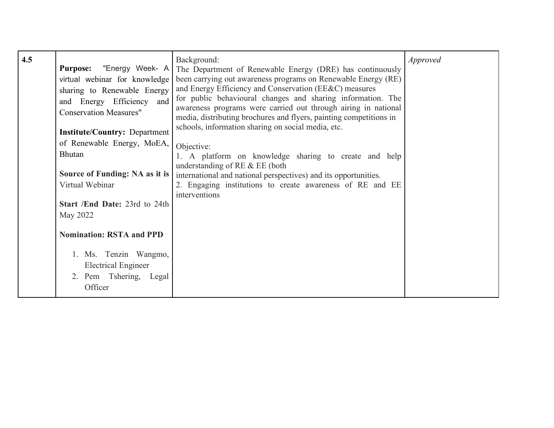| 4.5 | <b>Purpose:</b> "Energy Week- A<br>virtual webinar for knowledge<br>sharing to Renewable Energy<br>and Energy Efficiency and<br><b>Conservation Measures"</b><br><b>Institute/Country: Department</b><br>of Renewable Energy, MoEA,<br><b>Bhutan</b><br>Source of Funding: NA as it is<br>Virtual Webinar<br>Start /End Date: 23rd to 24th<br>May 2022<br><b>Nomination: RSTA and PPD</b> | Background:<br>The Department of Renewable Energy (DRE) has continuously<br>been carrying out awareness programs on Renewable Energy (RE)<br>and Energy Efficiency and Conservation (EE&C) measures<br>for public behavioural changes and sharing information. The<br>awareness programs were carried out through airing in national<br>media, distributing brochures and flyers, painting competitions in<br>schools, information sharing on social media, etc.<br>Objective:<br>1. A platform on knowledge sharing to create and help<br>understanding of RE $&$ EE (both<br>international and national perspectives) and its opportunities.<br>2. Engaging institutions to create awareness of RE and EE<br>interventions | <i>Approved</i> |
|-----|-------------------------------------------------------------------------------------------------------------------------------------------------------------------------------------------------------------------------------------------------------------------------------------------------------------------------------------------------------------------------------------------|------------------------------------------------------------------------------------------------------------------------------------------------------------------------------------------------------------------------------------------------------------------------------------------------------------------------------------------------------------------------------------------------------------------------------------------------------------------------------------------------------------------------------------------------------------------------------------------------------------------------------------------------------------------------------------------------------------------------------|-----------------|
|     | 1. Ms. Tenzin Wangmo,<br><b>Electrical Engineer</b><br>2. Pem Tshering, Legal<br>Officer                                                                                                                                                                                                                                                                                                  |                                                                                                                                                                                                                                                                                                                                                                                                                                                                                                                                                                                                                                                                                                                              |                 |